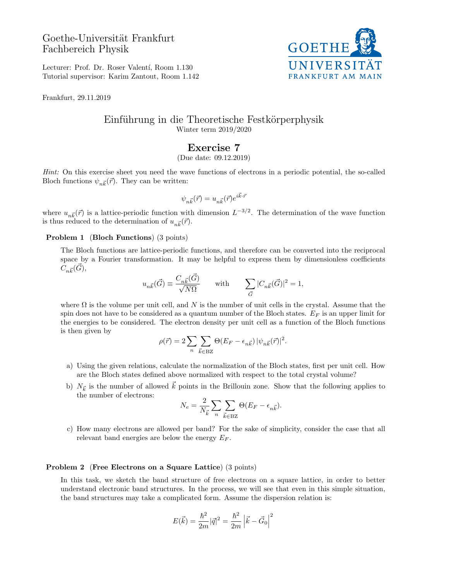# Goethe-Universität Frankfurt Fachbereich Physik



Lecturer: Prof. Dr. Roser Valentí, Room 1.130 Tutorial supervisor: Karim Zantout, Room 1.142

Frankfurt, 29.11.2019

### Einführung in die Theoretische Festkörperphysik Winter term 2019/2020

## Exercise 7

(Due date: 09.12.2019)

Hint: On this exercise sheet you need the wave functions of electrons in a periodic potential, the so-called Bloch functions  $\psi_{n\vec{k}}(\vec{r})$ . They can be written:

$$
\psi_{n\vec{k}}(\vec{r})=u_{n\vec{k}}(\vec{r})e^{i\vec{k}\cdot\vec{r}}
$$

where  $u_{n\vec{k}}(\vec{r})$  is a lattice-periodic function with dimension  $L^{-3/2}$ . The determination of the wave function is thus reduced to the determination of  $u_{n\vec{k}}(\vec{r})$ .

#### Problem 1 (Bloch Functions) (3 points)

The Bloch functions are lattice-periodic functions, and therefore can be converted into the reciprocal space by a Fourier transformation. It may be helpful to express them by dimensionless coefficients  $C_{n\vec{k}}(\vec{G}),$ 

$$
u_{n\vec{k}}(\vec{G})\equiv \frac{C_{n\vec{k}}(\vec{G})}{\sqrt{N\Omega}} \qquad \text{with} \qquad \sum_{\vec{G}}|C_{n\vec{k}}(\vec{G})|^2=1,
$$

where  $\Omega$  is the volume per unit cell, and N is the number of unit cells in the crystal. Assume that the spin does not have to be considered as a quantum number of the Bloch states.  $E_F$  is an upper limit for the energies to be considered. The electron density per unit cell as a function of the Bloch functions is then given by

$$
\rho(\vec{r}) = 2 \sum_{n} \sum_{\vec{k} \in BZ} \Theta(E_F - \epsilon_{n\vec{k}}) |\psi_{n\vec{k}}(\vec{r})|^2.
$$

- a) Using the given relations, calculate the normalization of the Bloch states, first per unit cell. How are the Bloch states defined above normalized with respect to the total crystal volume?
- b)  $N_{\vec{k}}$  is the number of allowed  $\vec{k}$  points in the Brillouin zone. Show that the following applies to the number of electrons:  $\sim$

$$
N_e = \frac{2}{N_{\vec{k}}} \sum_{n} \sum_{\vec{k} \in BZ} \Theta(E_F - \epsilon_{n\vec{k}}).
$$

c) How many electrons are allowed per band? For the sake of simplicity, consider the case that all relevant band energies are below the energy  $E_F$ .

#### Problem 2 (Free Electrons on a Square Lattice) (3 points)

In this task, we sketch the band structure of free electrons on a square lattice, in order to better understand electronic band structures. In the process, we will see that even in this simple situation, the band structures may take a complicated form. Assume the dispersion relation is:

$$
E(\vec{k}) = \frac{\hbar^2}{2m} |\vec{q}|^2 = \frac{\hbar^2}{2m} |\vec{k} - \vec{G}_0|^2
$$